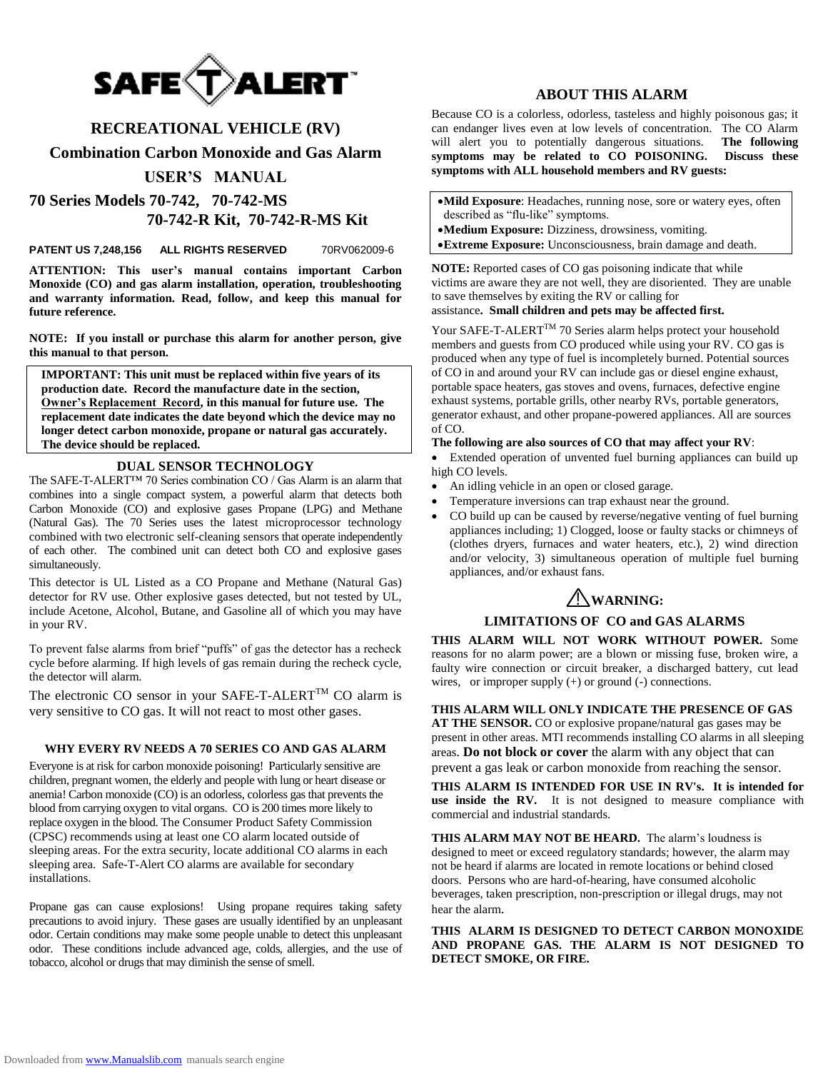

# **RECREATIONAL VEHICLE (RV)**

**Combination Carbon Monoxide and Gas Alarm**

# **USER'S MANUAL**

**70 Series Models 70-742, 70-742-MS 70-742-R Kit, 70-742-R-MS Kit** 

**PATENT US 7,248,156 ALL RIGHTS RESERVED** 70RV062009-6

**ATTENTION: This user's manual contains important Carbon Monoxide (CO) and gas alarm installation, operation, troubleshooting and warranty information. Read, follow, and keep this manual for future reference.**

**NOTE: If you install or purchase this alarm for another person, give this manual to that person.**

**IMPORTANT: This unit must be replaced within five years of its production date. Record the manufacture date in the section, Owner's Replacement Record, in this manual for future use. The replacement date indicates the date beyond which the device may no longer detect carbon monoxide, propane or natural gas accurately. The device should be replaced.** 

### **DUAL SENSOR TECHNOLOGY**

The SAFE-T-ALERT™ 70 Series combination CO / Gas Alarm is an alarm that combines into a single compact system, a powerful alarm that detects both Carbon Monoxide (CO) and explosive gases Propane (LPG) and Methane (Natural Gas). The 70 Series uses the latest microprocessor technology combined with two electronic self-cleaning sensors that operate independently of each other. The combined unit can detect both CO and explosive gases simultaneously.

This detector is UL Listed as a CO Propane and Methane (Natural Gas) detector for RV use. Other explosive gases detected, but not tested by UL, include Acetone, Alcohol, Butane, and Gasoline all of which you may have in your RV.

To prevent false alarms from brief "puffs" of gas the detector has a recheck cycle before alarming. If high levels of gas remain during the recheck cycle, the detector will alarm.

The electronic CO sensor in your SAFE-T-ALERT<sup>TM</sup> CO alarm is very sensitive to CO gas. It will not react to most other gases.

### **WHY EVERY RV NEEDS A 70 SERIES CO AND GAS ALARM**

Everyone is at risk for carbon monoxide poisoning! Particularly sensitive are children, pregnant women, the elderly and people with lung or heart disease or anemia! Carbon monoxide (CO) is an odorless, colorless gas that prevents the blood from carrying oxygen to vital organs.CO is 200 times more likely to replace oxygen in the blood. The Consumer Product Safety Commission (CPSC) recommends using at least one CO alarm located outside of sleeping areas. For the extra security, locate additional CO alarms in each sleeping area. Safe-T-Alert CO alarms are available for secondary installations.

Propane gas can cause explosions! Using propane requires taking safety precautions to avoid injury. These gases are usually identified by an unpleasant odor. Certain conditions may make some people unable to detect this unpleasant odor. These conditions include advanced age, colds, allergies, and the use of tobacco, alcohol or drugs that may diminish the sense of smell.

### **ABOUT THIS ALARM**

Because CO is a colorless, odorless, tasteless and highly poisonous gas; it can endanger lives even at low levels of concentration. The CO Alarm will alert you to potentially dangerous situations. **The following symptoms may be related to CO POISONING. Discuss these symptoms with ALL household members and RV guests:**

- **Mild Exposure**: Headaches, running nose, sore or watery eyes, often described as "flu-like" symptoms.
- **Medium Exposure:** Dizziness, drowsiness, vomiting.
- **Extreme Exposure:** Unconsciousness, brain damage and death.

**NOTE:** Reported cases of CO gas poisoning indicate that while victims are aware they are not well, they are disoriented. They are unable to save themselves by exiting the RV or calling for assistance**. Small children and pets may be affected first.**

Your SAFE-T-ALERTTM 70 Series alarm helps protect your household members and guests from CO produced while using your RV. CO gas is produced when any type of fuel is incompletely burned. Potential sources of CO in and around your RV can include gas or diesel engine exhaust, portable space heaters, gas stoves and ovens, furnaces, defective engine exhaust systems, portable grills, other nearby RVs, portable generators, generator exhaust, and other propane-powered appliances. All are sources of CO.

### **The following are also sources of CO that may affect your RV**:

 Extended operation of unvented fuel burning appliances can build up high CO levels.

- An idling vehicle in an open or closed garage.
- Temperature inversions can trap exhaust near the ground.
- CO build up can be caused by reverse/negative venting of fuel burning appliances including; 1) Clogged, loose or faulty stacks or chimneys of (clothes dryers, furnaces and water heaters, etc.), 2) wind direction and/or velocity, 3) simultaneous operation of multiple fuel burning appliances, and/or exhaust fans.

# ! **WARNING:**

### **LIMITATIONS OF CO and GAS ALARMS**

**THIS ALARM WILL NOT WORK WITHOUT POWER.** Some reasons for no alarm power; are a blown or missing fuse, broken wire, a faulty wire connection or circuit breaker, a discharged battery, cut lead wires, or improper supply (+) or ground (-) connections.

### **THIS ALARM WILL ONLY INDICATE THE PRESENCE OF GAS**

**AT THE SENSOR.** CO or explosive propane/natural gas gases may be present in other areas. MTI recommends installing CO alarms in all sleeping areas. **Do not block or cover** the alarm with any object that can prevent a gas leak or carbon monoxide from reaching the sensor.

**THIS ALARM IS INTENDED FOR USE IN RV's. It is intended for use inside the RV.** It is not designed to measure compliance with commercial and industrial standards.

**THIS ALARM MAY NOT BE HEARD.** The alarm's loudness is designed to meet or exceed regulatory standards; however, the alarm may not be heard if alarms are located in remote locations or behind closed doors. Persons who are hard-of-hearing, have consumed alcoholic beverages, taken prescription, non-prescription or illegal drugs, may not hear the alarm.

### **THIS ALARM IS DESIGNED TO DETECT CARBON MONOXIDE AND PROPANE GAS. THE ALARM IS NOT DESIGNED TO DETECT SMOKE, OR FIRE.**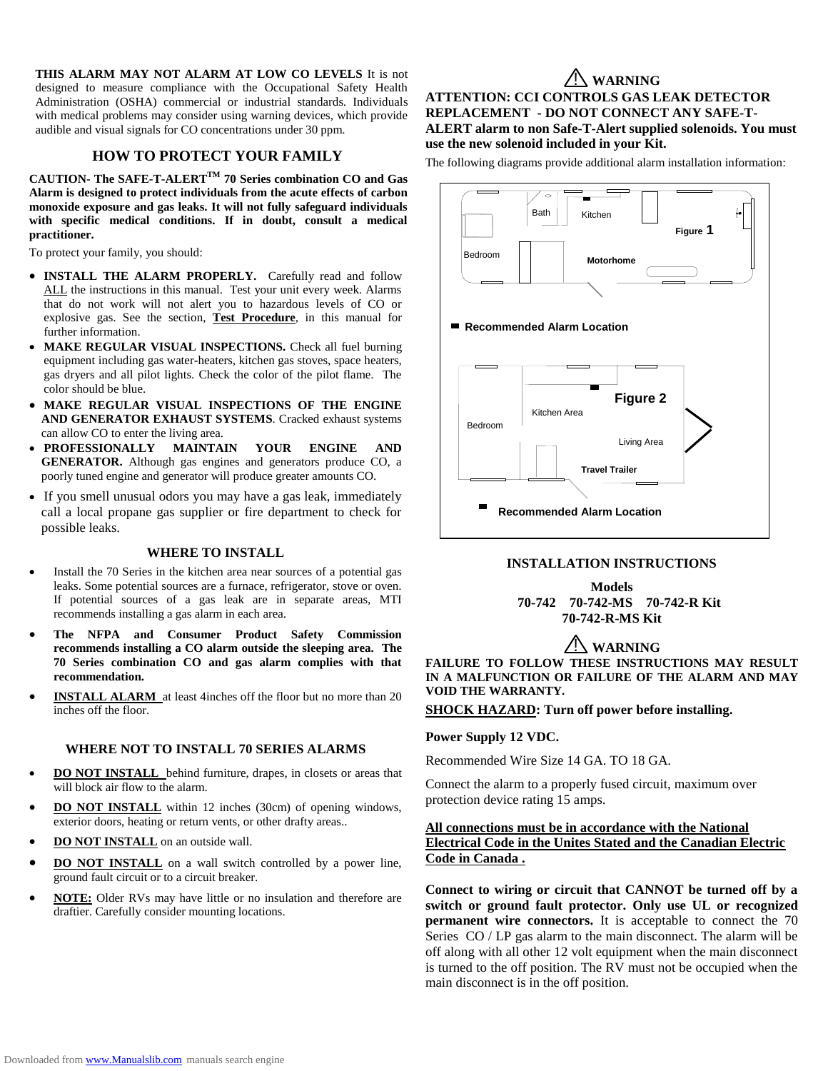**THIS ALARM MAY NOT ALARM AT LOW CO LEVELS** It is not designed to measure compliance with the Occupational Safety Health Administration (OSHA) commercial or industrial standards. Individuals with medical problems may consider using warning devices, which provide audible and visual signals for CO concentrations under 30 ppm.

# **HOW TO PROTECT YOUR FAMILY**

**CAUTION- The SAFE-T-ALERTTM 70 Series combination CO and Gas Alarm is designed to protect individuals from the acute effects of carbon monoxide exposure and gas leaks. It will not fully safeguard individuals with specific medical conditions. If in doubt, consult a medical practitioner.**

To protect your family, you should:

- **INSTALL THE ALARM PROPERLY.** Carefully read and follow ALL the instructions in this manual. Test your unit every week. Alarms that do not work will not alert you to hazardous levels of CO or explosive gas. See the section, **Test Procedure**, in this manual for further information.
- MAKE REGULAR VISUAL INSPECTIONS. Check all fuel burning equipment including gas water-heaters, kitchen gas stoves, space heaters, gas dryers and all pilot lights. Check the color of the pilot flame. The color should be blue.
- **MAKE REGULAR VISUAL INSPECTIONS OF THE ENGINE AND GENERATOR EXHAUST SYSTEMS**. Cracked exhaust systems can allow CO to enter the living area.
- **PROFESSIONALLY MAINTAIN YOUR ENGINE AND GENERATOR.** Although gas engines and generators produce CO, a poorly tuned engine and generator will produce greater amounts CO.
- If you smell unusual odors you may have a gas leak, immediately call a local propane gas supplier or fire department to check for possible leaks.

### **WHERE TO INSTALL**

- Install the 70 Series in the kitchen area near sources of a potential gas leaks. Some potential sources are a furnace, refrigerator, stove or oven. If potential sources of a gas leak are in separate areas, MTI recommends installing a gas alarm in each area.
- **The NFPA and Consumer Product Safety Commission recommends installing a CO alarm outside the sleeping area. The 70 Series combination CO and gas alarm complies with that recommendation.**
- **INSTALL ALARM** at least 4inches off the floor but no more than 20 inches off the floor.

### **WHERE NOT TO INSTALL 70 SERIES ALARMS**

- **DO NOT INSTALL** behind furniture, drapes, in closets or areas that will block air flow to the alarm.
- **DO NOT INSTALL** within 12 inches (30cm) of opening windows, exterior doors, heating or return vents, or other drafty areas..
- **DO NOT INSTALL** on an outside wall.
- **DO NOT INSTALL** on a wall switch controlled by a power line, ground fault circuit or to a circuit breaker.
- **NOTE:** Older RVs may have little or no insulation and therefore are draftier. Carefully consider mounting locations.

# ! **WARNING**

**ATTENTION: CCI CONTROLS GAS LEAK DETECTOR REPLACEMENT - DO NOT CONNECT ANY SAFE-T-ALERT alarm to non Safe-T-Alert supplied solenoids. You must use the new solenoid included in your Kit.** 

The following diagrams provide additional alarm installation information:



### **INSTALLATION INSTRUCTIONS** *<u><del>P*</del>  $\frac{1}{2}$ </u>

**Models 70-742 70-742-MS 70-742-R Kit 70-742-R-MS Kit**

# ! **WARNING**

FAILURE TO FOLLOW THESE INSTRUCTIONS MAY RESULT **IN A MALFUNCTION OR FAILURE OF THE ALARM AND MAY VOID THE WARRANTY.**

**SHOCK HAZARD: Turn off power before installing.**

### **Power Supply 12 VDC.**

Recommended Wire Size 14 GA. TO 18 GA. **DENOTE WHE SIZE 14 UA. TO TO UA.** 

Connect the alarm to a properly fused circuit, maximum over protection device rating 15 amps.

# **All connections must be in accordance with the National Electrical Code in the Unites Stated and the Canadian Electric Code in Canada .**

**Connect to wiring or circuit that CANNOT be turned off by a switch or ground fault protector. Only use UL or recognized permanent wire connectors.** It is acceptable to connect the 70 Series CO / LP gas alarm to the main disconnect. The alarm will be off along with all other 12 volt equipment when the main disconnect is turned to the off position. The RV must not be occupied when the main disconnect is in the off position.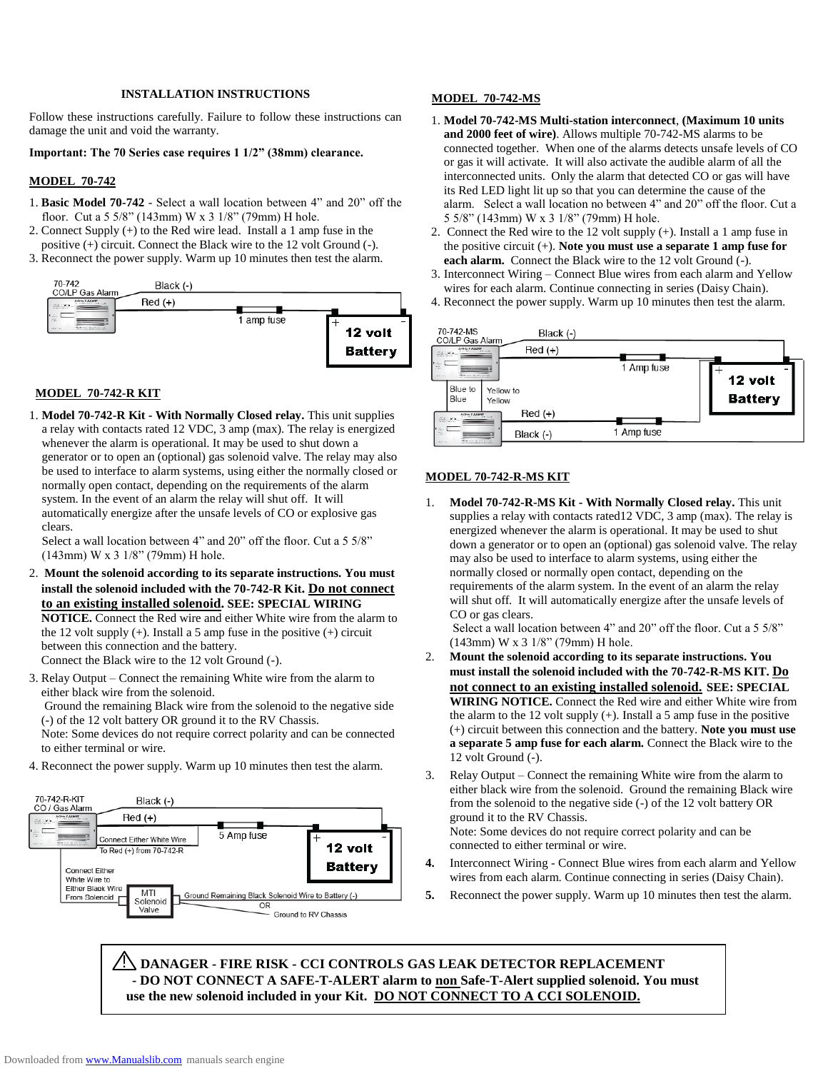### **INSTALLATION INSTRUCTIONS**

Follow these instructions carefully. Failure to follow these instructions can damage the unit and void the warranty.

### **Important: The 70 Series case requires 1 1/2" (38mm) clearance.**

#### **MODEL 70-742**

- 1. **Basic Model 70-742** Select a wall location between 4" and 20" off the floor. Cut a 5 5/8" (143mm) W x 3 1/8" (79mm) H hole.
- 2. Connect Supply (+) to the Red wire lead. Install a 1 amp fuse in the positive (+) circuit. Connect the Black wire to the 12 volt Ground (-).
- 3. Reconnect the power supply. Warm up 10 minutes then test the alarm.



### **MODEL 70-742-R KIT**

1. **Model 70-742-R Kit - With Normally Closed relay.** This unit supplies a relay with contacts rated 12 VDC, 3 amp (max). The relay is energized whenever the alarm is operational. It may be used to shut down a generator or to open an (optional) gas solenoid valve. The relay may also be used to interface to alarm systems, using either the normally closed or normally open contact, depending on the requirements of the alarm system. In the event of an alarm the relay will shut off. It will automatically energize after the unsafe levels of CO or explosive gas clears.

Select a wall location between 4" and 20" off the floor. Cut a 5 5/8" (143mm) W x 3 1/8" (79mm) H hole.

2. **Mount the solenoid according to its separate instructions. You must install the solenoid included with the 70-742-R Kit. Do not connect to an existing installed solenoid. SEE: SPECIAL WIRING NOTICE.** Connect the Red wire and either White wire from the alarm to the 12 volt supply  $(+)$ . Install a 5 amp fuse in the positive  $(+)$  circuit between this connection and the battery. Connect the Black wire to the 12 volt Ground (-).

3. Relay Output – Connect the remaining White wire from the alarm to either black wire from the solenoid.

Ground the remaining Black wire from the solenoid to the negative side (-) of the 12 volt battery OR ground it to the RV Chassis.

Note: Some devices do not require correct polarity and can be connected to either terminal or wire.

4. Reconnect the power supply. Warm up 10 minutes then test the alarm.



### **MODEL 70-742-MS**

- 1. **Model 70-742-MS Multi-station interconnect**, **(Maximum 10 units and 2000 feet of wire)**. Allows multiple 70-742-MS alarms to be connected together. When one of the alarms detects unsafe levels of CO or gas it will activate. It will also activate the audible alarm of all the interconnected units. Only the alarm that detected CO or gas will have its Red LED light lit up so that you can determine the cause of the alarm. Select a wall location no between 4" and 20" off the floor. Cut a 5 5/8" (143mm) W x 3 1/8" (79mm) H hole.
- 2. Connect the Red wire to the 12 volt supply (+). Install a 1 amp fuse in the positive circuit (+). **Note you must use a separate 1 amp fuse for each alarm.** Connect the Black wire to the 12 volt Ground (-).
- 3. Interconnect Wiring Connect Blue wires from each alarm and Yellow wires for each alarm. Continue connecting in series (Daisy Chain).
- 4. Reconnect the power supply. Warm up 10 minutes then test the alarm.



### **MODEL 70-742-R-MS KIT**

1. **Model 70-742-R-MS Kit - With Normally Closed relay.** This unit supplies a relay with contacts rated12 VDC, 3 amp (max). The relay is energized whenever the alarm is operational. It may be used to shut down a generator or to open an (optional) gas solenoid valve. The relay may also be used to interface to alarm systems, using either the normally closed or normally open contact, depending on the requirements of the alarm system. In the event of an alarm the relay will shut off. It will automatically energize after the unsafe levels of CO or gas clears.

Select a wall location between 4" and 20" off the floor. Cut a 5 5/8" (143mm) W x 3 1/8" (79mm) H hole.

- 2. **Mount the solenoid according to its separate instructions. You must install the solenoid included with the 70-742-R-MS KIT. Do not connect to an existing installed solenoid. SEE: SPECIAL WIRING NOTICE.** Connect the Red wire and either White wire from the alarm to the 12 volt supply  $(+)$ . Install a 5 amp fuse in the positive (+) circuit between this connection and the battery. **Note you must use a separate 5 amp fuse for each alarm.** Connect the Black wire to the 12 volt Ground (-).
- 3. Relay Output Connect the remaining White wire from the alarm to either black wire from the solenoid. Ground the remaining Black wire from the solenoid to the negative side (-) of the 12 volt battery OR ground it to the RV Chassis. Note: Some devices do not require correct polarity and can be

connected to either terminal or wire.

- **4.** Interconnect Wiring Connect Blue wires from each alarm and Yellow wires from each alarm. Continue connecting in series (Daisy Chain).
- **5.** Reconnect the power supply. Warm up 10 minutes then test the alarm.

! **DANAGER - FIRE RISK - CCI CONTROLS GAS LEAK DETECTOR REPLACEMENT - DO NOT CONNECT A SAFE-T-ALERT alarm to non Safe-T-Alert supplied solenoid. You must use the new solenoid included in your Kit. DO NOT CONNECT TO A CCI SOLENOID.**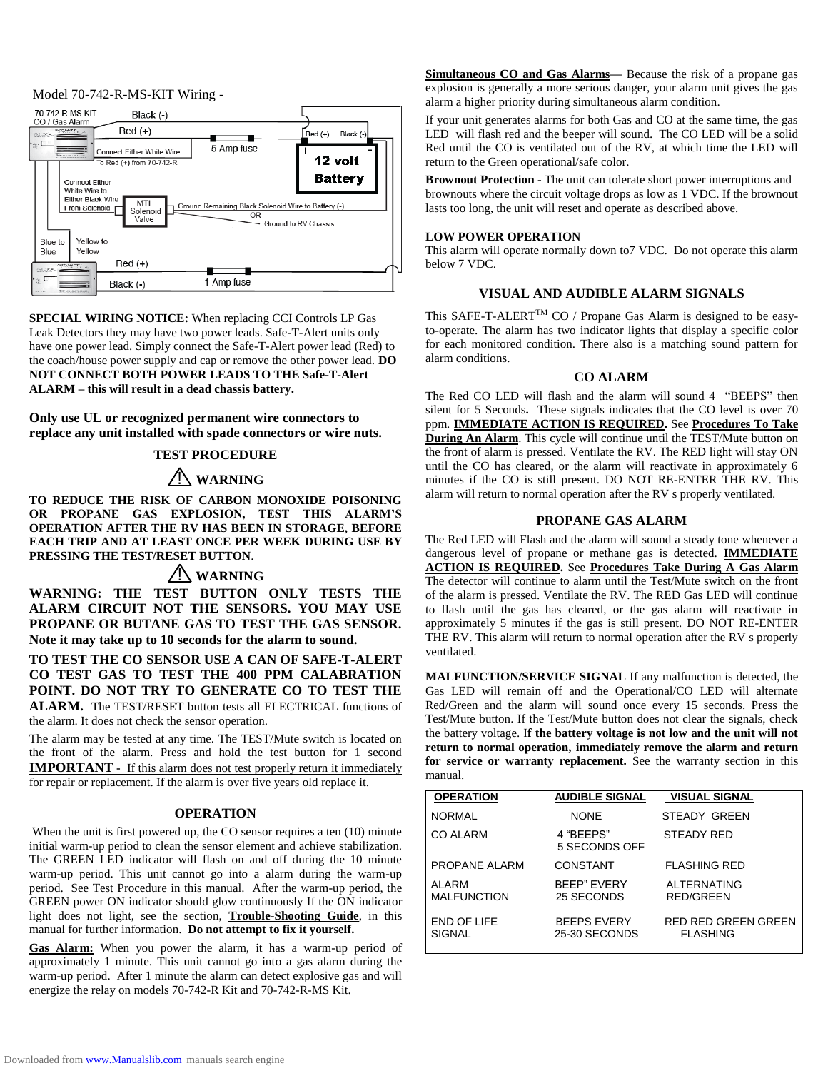#### Model 70-742-R-MS-KIT Wiring -



**SPECIAL WIRING NOTICE:** When replacing CCI Controls LP Gas Leak Detectors they may have two power leads. Safe-T-Alert units only have one power lead. Simply connect the Safe-T-Alert power lead (Red) to the coach/house power supply and cap or remove the other power lead. **DO NOT CONNECT BOTH POWER LEADS TO THE Safe-T-Alert ALARM – this will result in a dead chassis battery.**

**Only use UL or recognized permanent wire connectors to replace any unit installed with spade connectors or wire nuts.**

# **TEST PROCEDURE**

# ! **WARNING**

**TO REDUCE THE RISK OF CARBON MONOXIDE POISONING OR PROPANE GAS EXPLOSION, TEST THIS ALARM'S OPERATION AFTER THE RV HAS BEEN IN STORAGE, BEFORE EACH TRIP AND AT LEAST ONCE PER WEEK DURING USE BY PRESSING THE TEST/RESET BUTTON**.

# ! **WARNING**

**WARNING: THE TEST BUTTON ONLY TESTS THE ALARM CIRCUIT NOT THE SENSORS. YOU MAY USE PROPANE OR BUTANE GAS TO TEST THE GAS SENSOR. Note it may take up to 10 seconds for the alarm to sound.**

**TO TEST THE CO SENSOR USE A CAN OF SAFE-T-ALERT CO TEST GAS TO TEST THE 400 PPM CALABRATION POINT. DO NOT TRY TO GENERATE CO TO TEST THE ALARM.** The TEST/RESET button tests all ELECTRICAL functions of the alarm. It does not check the sensor operation.

The alarm may be tested at any time. The TEST/Mute switch is located on the front of the alarm. Press and hold the test button for 1 second **IMPORTANT** - If this alarm does not test properly return it immediately for repair or replacement. If the alarm is over five years old replace it.

### **OPERATION**

When the unit is first powered up, the CO sensor requires a ten (10) minute initial warm-up period to clean the sensor element and achieve stabilization. The GREEN LED indicator will flash on and off during the 10 minute warm-up period. This unit cannot go into a alarm during the warm-up period. See Test Procedure in this manual. After the warm-up period, the GREEN power ON indicator should glow continuously If the ON indicator light does not light, see the section, **Trouble-Shooting Guide**, in this manual for further information. **Do not attempt to fix it yourself.**

**Gas Alarm:** When you power the alarm, it has a warm-up period of approximately 1 minute. This unit cannot go into a gas alarm during the warm-up period. After 1 minute the alarm can detect explosive gas and will energize the relay on models 70-742-R Kit and 70-742-R-MS Kit.

**Simultaneous CO and Gas Alarms—** Because the risk of a propane gas explosion is generally a more serious danger, your alarm unit gives the gas alarm a higher priority during simultaneous alarm condition.

If your unit generates alarms for both Gas and CO at the same time, the gas LED will flash red and the beeper will sound. The CO LED will be a solid Red until the CO is ventilated out of the RV, at which time the LED will return to the Green operational/safe color.

**Brownout Protection -** The unit can tolerate short power interruptions and brownouts where the circuit voltage drops as low as 1 VDC. If the brownout lasts too long, the unit will reset and operate as described above.

#### **LOW POWER OPERATION**

This alarm will operate normally down to7 VDC. Do not operate this alarm below 7 VDC.

# **VISUAL AND AUDIBLE ALARM SIGNALS**

This SAFE-T-ALERT<sup>TM</sup> CO / Propane Gas Alarm is designed to be easyto-operate. The alarm has two indicator lights that display a specific color for each monitored condition. There also is a matching sound pattern for alarm conditions.

#### **CO ALARM**

The Red CO LED will flash and the alarm will sound 4 "BEEPS" then silent for 5 Seconds**.** These signals indicates that the CO level is over 70 ppm. **IMMEDIATE ACTION IS REQUIRED.** See **Procedures To Take During An Alarm**. This cycle will continue until the TEST/Mute button on the front of alarm is pressed. Ventilate the RV. The RED light will stay ON until the CO has cleared, or the alarm will reactivate in approximately 6 minutes if the CO is still present. DO NOT RE-ENTER THE RV. This alarm will return to normal operation after the RV s properly ventilated.

### **PROPANE GAS ALARM**

The Red LED will Flash and the alarm will sound a steady tone whenever a dangerous level of propane or methane gas is detected. **IMMEDIATE ACTION IS REQUIRED.** See **Procedures Take During A Gas Alarm** The detector will continue to alarm until the Test/Mute switch on the front of the alarm is pressed. Ventilate the RV. The RED Gas LED will continue to flash until the gas has cleared, or the gas alarm will reactivate in approximately 5 minutes if the gas is still present. DO NOT RE-ENTER THE RV. This alarm will return to normal operation after the RV s properly ventilated.

**MALFUNCTION/SERVICE SIGNAL** If any malfunction is detected, the Gas LED will remain off and the Operational/CO LED will alternate Red/Green and the alarm will sound once every 15 seconds. Press the Test/Mute button. If the Test/Mute button does not clear the signals, check the battery voltage. I**f the battery voltage is not low and the unit will not return to normal operation, immediately remove the alarm and return for service or warranty replacement.** See the warranty section in this manual.

| <b>OPERATION</b>             | <b>AUDIBLE SIGNAL</b>               | <b>VISUAL SIGNAL</b>                          |
|------------------------------|-------------------------------------|-----------------------------------------------|
| <b>NORMAL</b>                | <b>NONE</b>                         | STEADY GREEN                                  |
| CO ALARM                     | 4 "BEEPS"<br>5 SECONDS OFF          | <b>STEADY RED</b>                             |
| PROPANE ALARM                | CONSTANT                            | <b>FLASHING RED</b>                           |
| AI ARM<br><b>MALFUNCTION</b> | <b>BEEP" EVERY</b><br>25 SECONDS    | ALTERNATING<br><b>RED/GREEN</b>               |
| END OF LIFE<br><b>SIGNAL</b> | <b>BEEPS EVERY</b><br>25-30 SECONDS | <b>RED RED GREEN GREEN</b><br><b>FLASHING</b> |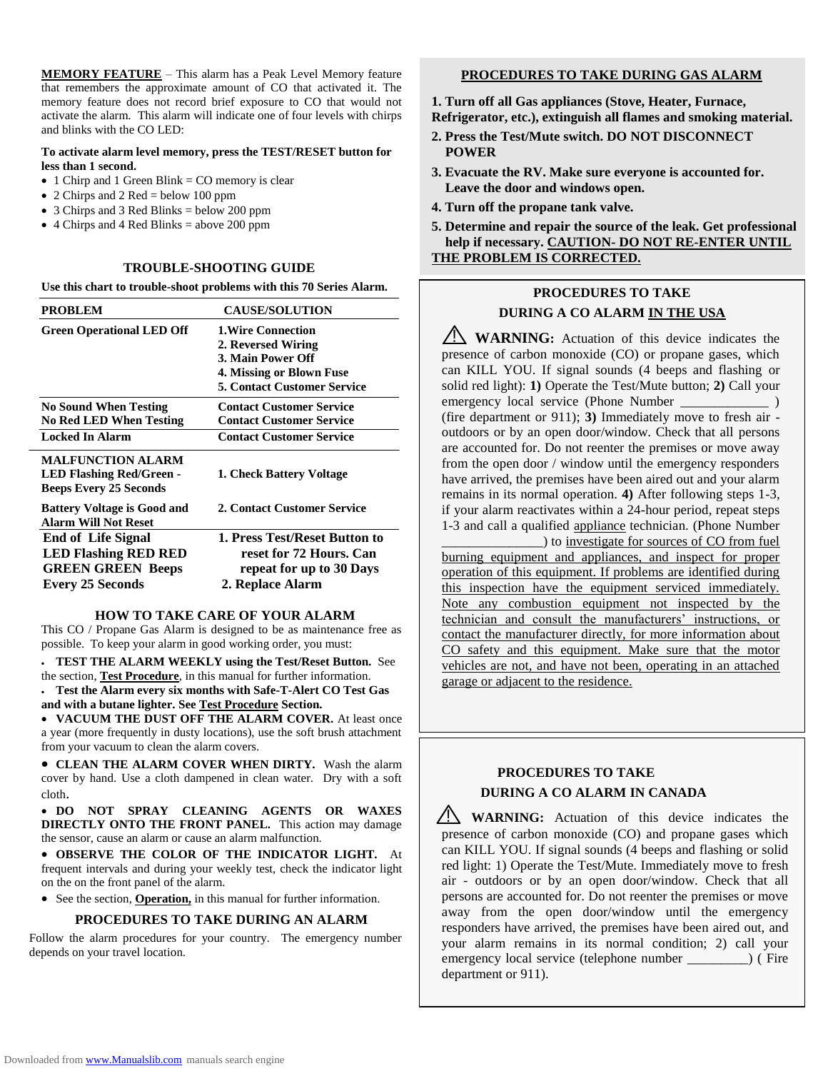**MEMORY FEATURE** – This alarm has a Peak Level Memory feature that remembers the approximate amount of CO that activated it. The memory feature does not record brief exposure to CO that would not activate the alarm. This alarm will indicate one of four levels with chirps and blinks with the CO LED:

### **To activate alarm level memory, press the TEST/RESET button for less than 1 second.**

- $\bullet$  1 Chirp and 1 Green Blink = CO memory is clear
- 2 Chirps and 2 Red = below 100 ppm
- $\bullet$  3 Chirps and 3 Red Blinks = below 200 ppm
- $\bullet$  4 Chirps and 4 Red Blinks = above 200 ppm

### **TROUBLE-SHOOTING GUIDE**

**Use this chart to trouble-shoot problems with this 70 Series Alarm.**

| <b>PROBLEM</b>                                                                                                  | <b>CAUSE/SOLUTION</b>                                                                                                                  |
|-----------------------------------------------------------------------------------------------------------------|----------------------------------------------------------------------------------------------------------------------------------------|
| <b>Green Operational LED Off</b>                                                                                | <b>1. Wire Connection</b><br>2. Reversed Wiring<br>3. Main Power Off<br>4. Missing or Blown Fuse<br><b>5. Contact Customer Service</b> |
| <b>No Sound When Testing</b><br><b>No Red LED When Testing</b>                                                  | <b>Contact Customer Service</b><br><b>Contact Customer Service</b>                                                                     |
| <b>Locked In Alarm</b>                                                                                          | <b>Contact Customer Service</b>                                                                                                        |
| <b>MALFUNCTION ALARM</b><br><b>LED Flashing Red/Green -</b><br><b>Beeps Every 25 Seconds</b>                    | 1. Check Battery Voltage                                                                                                               |
| <b>Battery Voltage is Good and</b><br><b>Alarm Will Not Reset</b>                                               | 2. Contact Customer Service                                                                                                            |
| <b>End of Life Signal</b><br><b>LED Flashing RED RED</b><br><b>GREEN GREEN Beeps</b><br><b>Every 25 Seconds</b> | 1. Press Test/Reset Button to<br>reset for 72 Hours. Can<br>repeat for up to 30 Days<br>2. Replace Alarm                               |

#### **HOW TO TAKE CARE OF YOUR ALARM**

This CO / Propane Gas Alarm is designed to be as maintenance free as possible. To keep your alarm in good working order, you must:

 **TEST THE ALARM WEEKLY using the Test/Reset Button.** See the section, **Test Procedure**, in this manual for further information.

 **Test the Alarm every six months with Safe-T-Alert CO Test Gas and with a butane lighter. See Test Procedure Section.** 

 **VACUUM THE DUST OFF THE ALARM COVER.** At least once a year (more frequently in dusty locations), use the soft brush attachment from your vacuum to clean the alarm covers.

 **CLEAN THE ALARM COVER WHEN DIRTY.** Wash the alarm cover by hand. Use a cloth dampened in clean water. Dry with a soft cloth.

 **DO NOT SPRAY CLEANING AGENTS OR WAXES DIRECTLY ONTO THE FRONT PANEL.** This action may damage the sensor, cause an alarm or cause an alarm malfunction.

 **OBSERVE THE COLOR OF THE INDICATOR LIGHT.** At frequent intervals and during your weekly test, check the indicator light on the on the front panel of the alarm.

• See the section, **Operation**, in this manual for further information.

### **PROCEDURES TO TAKE DURING AN ALARM**

Follow the alarm procedures for your country. The emergency number depends on your travel location.

# **PROCEDURES TO TAKE DURING GAS ALARM**

**1. Turn off all Gas appliances (Stove, Heater, Furnace, Refrigerator, etc.), extinguish all flames and smoking material.** 

- **2. Press the Test/Mute switch. DO NOT DISCONNECT POWER**
- **3. Evacuate the RV. Make sure everyone is accounted for. Leave the door and windows open.**
- **4. Turn off the propane tank valve.**

**5. Determine and repair the source of the leak. Get professional help if necessary. CAUTION- DO NOT RE-ENTER UNTIL THE PROBLEM IS CORRECTED.**

# **PROCEDURES TO TAKE**

# **DURING A CO ALARM IN THE USA**

**WARNING**: Actuation of this device indicates the presence of carbon monoxide (CO) or propane gases, which can KILL YOU. If signal sounds (4 beeps and flashing or solid red light): **1)** Operate the Test/Mute button; **2)** Call your emergency local service (Phone Number \_\_\_\_\_\_\_\_\_\_\_\_ ) (fire department or 911); **3)** Immediately move to fresh air outdoors or by an open door/window. Check that all persons are accounted for. Do not reenter the premises or move away from the open door / window until the emergency responders have arrived, the premises have been aired out and your alarm remains in its normal operation. **4)** After following steps 1-3, if your alarm reactivates within a 24-hour period, repeat steps 1-3 and call a qualified appliance technician. (Phone Number

\_\_\_\_\_\_\_\_\_\_\_\_\_\_\_) to investigate for sources of CO from fuel burning equipment and appliances, and inspect for proper operation of this equipment. If problems are identified during this inspection have the equipment serviced immediately. Note any combustion equipment not inspected by the technician and consult the manufacturers' instructions, or contact the manufacturer directly, for more information about CO safety and this equipment. Make sure that the motor vehicles are not, and have not been, operating in an attached garage or adjacent to the residence.

# **PROCEDURES TO TAKE DURING A CO ALARM IN CANADA**

**WARNING:** Actuation of this device indicates the presence of carbon monoxide (CO) and propane gases which can KILL YOU. If signal sounds (4 beeps and flashing or solid red light: 1) Operate the Test/Mute. Immediately move to fresh air - outdoors or by an open door/window. Check that all persons are accounted for. Do not reenter the premises or move away from the open door/window until the emergency responders have arrived, the premises have been aired out, and your alarm remains in its normal condition; 2) call your emergency local service (telephone number \_\_\_\_\_\_\_\_\_) ( Fire department or 911).